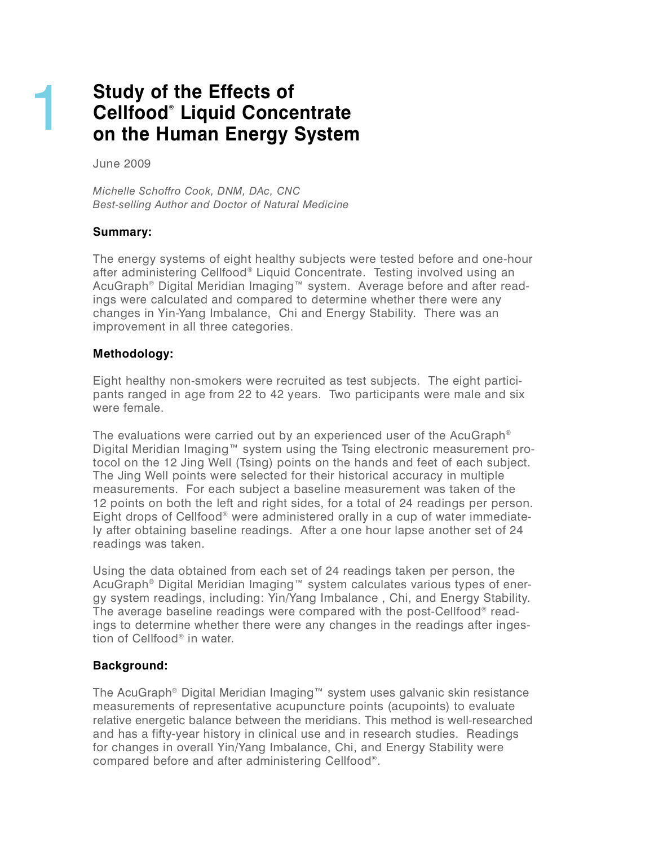# **Study of the Effects of C e l l f o o d® Liquid Concentrate on the Human Energy System**

#### June 2009

1

*Michelle Schoffro Cook, DNM, DAc, CNC B e s t-selling Author and Doctor of Natural Medicine*

### **Summary:**

The energy systems of eight healthy subjects were tested before and one-hour after administering Cellfood® Liquid Concentrate. Testing involved using an AcuGraph® Digital Meridian Imaging™ system. Average before and after readings were calculated and compared to determine whether there were any changes in Yin-Yang Imbalance, Chi and Energy Stability. There was an improvement in all three categories.

#### **Methodology:**

Eight healthy non-smokers were recruited as test subjects. The eight participants ranged in age from 22 to 42 years. Two participants were male and six were female.

The evaluations were carried out by an experienced user of the AcuGraph® Digital Meridian Imaging™ system using the Tsing electronic measurement protocol on the 12 Jing Well (Tsing) points on the hands and feet of each subject. The Jing Well points were selected for their historical accuracy in multiple measurements. For each subject a baseline measurement was taken of the 12 points on both the left and right sides, for a total of 24 readings per person. Eight drops of Cellfood® were administered orally in a cup of water immediately after obtaining baseline readings. After a one hour lapse another set of 24 readings was taken.

Using the data obtained from each set of 24 readings taken per person, the AcuGraph® Digital Meridian Imaging™ system calculates various types of energy system readings, including: Yin/Yang Imbalance , Chi, and Energy Stability. The average baseline readings were compared with the post-Cellfood® readings to determine whether there were any changes in the readings after ingestion of Cellfood® in water.

### **Background:**

The AcuGraph® Digital Meridian Imaging™ system uses galvanic skin resistance measurements of representative acupuncture points (acupoints) to evaluate relative energetic balance between the meridians. This method is well-researched and has a fifty-year history in clinical use and in research studies. Readings for changes in overall Yin/Yang Imbalance, Chi, and Energy Stability were compared before and after administering Cellfood®.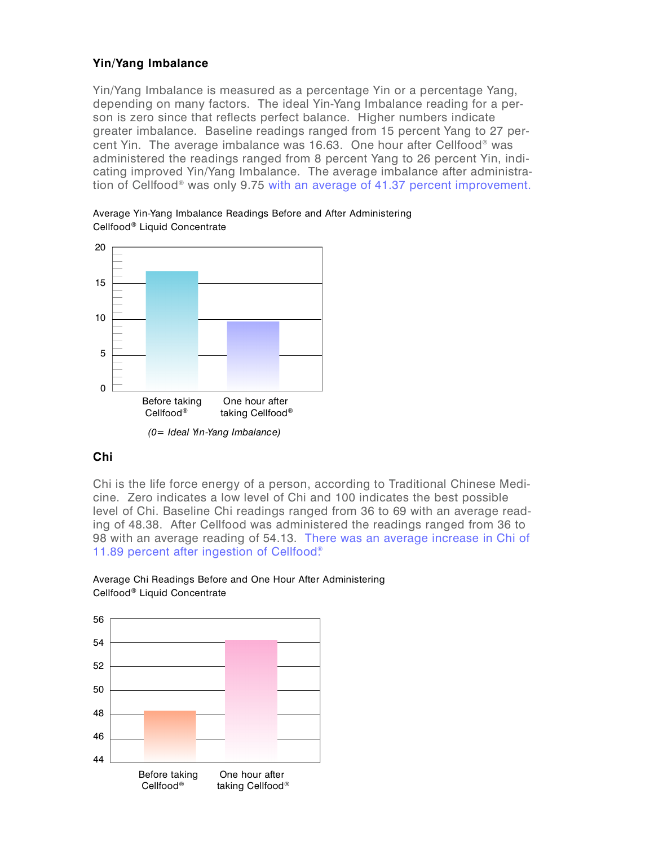### **Y i n / Yang Imbalance**

Yin/Yang Imbalance is measured as a percentage Yin or a percentage Yang, depending on many factors. The ideal Yin-Yang Imbalance reading for a person is zero since that reflects perfect balance. Higher numbers indicate greater imbalance. Baseline readings ranged from 15 percent Yang to 27 percent Yin. The average imbalance was 16.63. One hour after Cellfood® was administered the readings ranged from 8 percent Yang to 26 percent Yin, indicating improved Yin/Yang Imbalance. The average imbalance after administration of Cellfood® was only 9.75 with an average of 41.37 percent improvement.

Average Yin-Yang Imbalance Readings Before and After Administering Cellfood® Liquid Concentrate



### **C h i**

Chi is the life force energy of a person, according to Traditional Chinese Medicine. Zero indicates a low level of Chi and 100 indicates the best possible level of Chi. Baseline Chi readings ranged from 36 to 69 with an average reading of 48.38. After Cellfood was administered the readings ranged from 36 to 98 with an average reading of 54.13. There was an average increase in Chi of 11.89 percent after ingestion of Cellfood®



#### Average Chi Readings Before and One Hour After Administering Cellfood® Liquid Concentrate